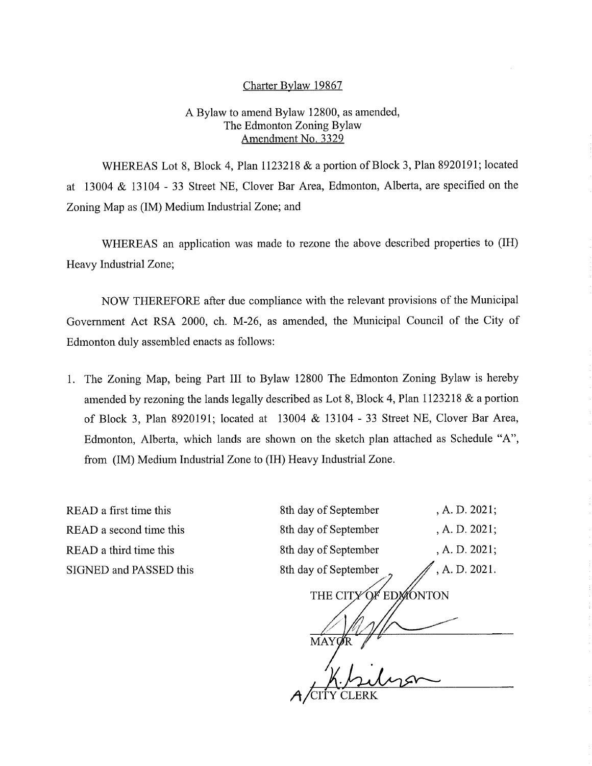## Charter Bylaw 19867

## A Bylaw to amend Bylaw 12800, as amended, The Edmonton Zoning Bylaw Amendment No. 3329

WHEREAS Lot 8, Block 4, Plan 1123218 & a portion of Block 3, Plan 8920191; located at 13004 & 13104 - 33 Street NE, Clover Bar Area, Edmonton, Alberta, are specified on the Zoning Map as (IM) Medium Industrial Zone; and

WHEREAS an application was made to rezone the above described properties to (IH) Heavy Industrial Zone;

NOW THEREFORE after due compliance with the relevant provisions of the Municipal Government Act RSA 2000, ch. M-26, as amended, the Municipal Council of the City of Edmonton duly assembled enacts as follows:

1. The Zoning Map, being Part III to Bylaw 12800 The Edmonton Zoning Bylaw is hereby amended by rezoning the lands legally described as Lot 8, Block 4, Plan 1123218 & a portion of Block 3, Plan 8920191; located at 13004 & 13104 - 33 Street NE, Clover Bar Area, Edmonton, Alberta, which lands are shown on the sketch plan attached as Schedule "A", from (IM) Medium Industrial Zone to (IH) Heavy Industrial Zone.

READ a first time this READ a second time this READ a third time this SIGNED and PASSED this

| 8th day of September       | , A. D. 2021; |
|----------------------------|---------------|
| 8th day of September       | , A. D. 2021; |
| 8th day of September       | , A. D. 2021; |
| 8th day of September       | , A. D. 2021. |
| <b>EDMONTON</b><br>THE CIT |               |
|                            |               |
| <b>MAY</b>                 |               |
|                            |               |
|                            |               |